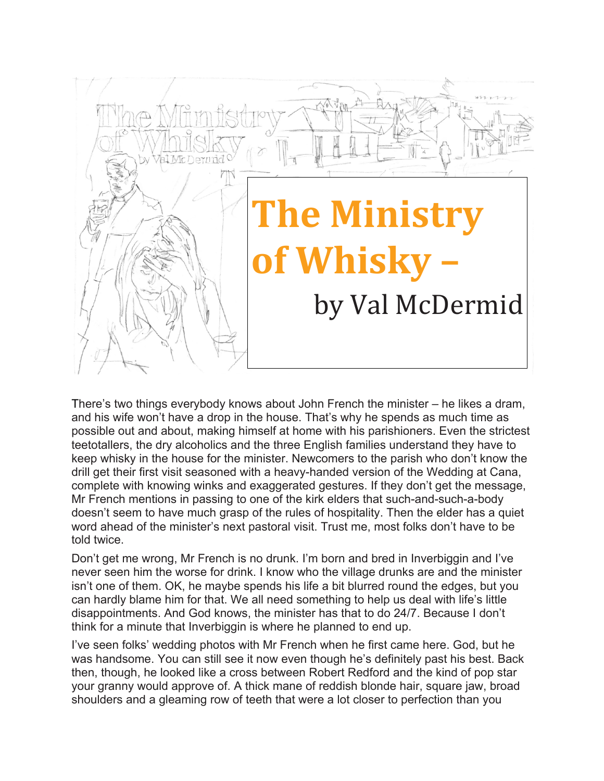

There's two things everybody knows about John French the minister – he likes a dram, and his wife won't have a drop in the house. That's why he spends as much time as possible out and about, making himself at home with his parishioners. Even the strictest teetotallers, the dry alcoholics and the three English families understand they have to keep whisky in the house for the minister. Newcomers to the parish who don't know the drill get their first visit seasoned with a heavy-handed version of the Wedding at Cana, complete with knowing winks and exaggerated gestures. If they don't get the message, Mr French mentions in passing to one of the kirk elders that such-and-such-a-body doesn't seem to have much grasp of the rules of hospitality. Then the elder has a quiet word ahead of the minister's next pastoral visit. Trust me, most folks don't have to be told twice.

Don't get me wrong, Mr French is no drunk. I'm born and bred in Inverbiggin and I've never seen him the worse for drink. I know who the village drunks are and the minister isn't one of them. OK, he maybe spends his life a bit blurred round the edges, but you can hardly blame him for that. We all need something to help us deal with life's little disappointments. And God knows, the minister has that to do 24/7. Because I don't think for a minute that Inverbiggin is where he planned to end up.

I've seen folks' wedding photos with Mr French when he first came here. God, but he was handsome. You can still see it now even though he's definitely past his best. Back then, though, he looked like a cross between Robert Redford and the kind of pop star your granny would approve of. A thick mane of reddish blonde hair, square jaw, broad shoulders and a gleaming row of teeth that were a lot closer to perfection than you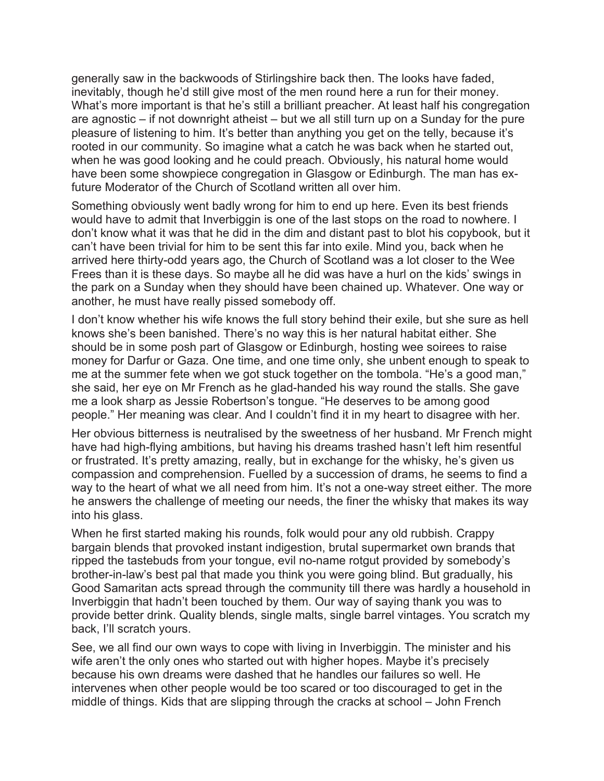generally saw in the backwoods of Stirlingshire back then. The looks have faded, inevitably, though he'd still give most of the men round here a run for their money. What's more important is that he's still a brilliant preacher. At least half his congregation are agnostic – if not downright atheist – but we all still turn up on a Sunday for the pure pleasure of listening to him. It's better than anything you get on the telly, because it's rooted in our community. So imagine what a catch he was back when he started out, when he was good looking and he could preach. Obviously, his natural home would have been some showpiece congregation in Glasgow or Edinburgh. The man has exfuture Moderator of the Church of Scotland written all over him.

Something obviously went badly wrong for him to end up here. Even its best friends would have to admit that Inverbiggin is one of the last stops on the road to nowhere. I don't know what it was that he did in the dim and distant past to blot his copybook, but it can't have been trivial for him to be sent this far into exile. Mind you, back when he arrived here thirty-odd years ago, the Church of Scotland was a lot closer to the Wee Frees than it is these days. So maybe all he did was have a hurl on the kids' swings in the park on a Sunday when they should have been chained up. Whatever. One way or another, he must have really pissed somebody off.

I don't know whether his wife knows the full story behind their exile, but she sure as hell knows she's been banished. There's no way this is her natural habitat either. She should be in some posh part of Glasgow or Edinburgh, hosting wee soirees to raise money for Darfur or Gaza. One time, and one time only, she unbent enough to speak to me at the summer fete when we got stuck together on the tombola. "He's a good man," she said, her eye on Mr French as he glad-handed his way round the stalls. She gave me a look sharp as Jessie Robertson's tongue. "He deserves to be among good people." Her meaning was clear. And I couldn't find it in my heart to disagree with her.

Her obvious bitterness is neutralised by the sweetness of her husband. Mr French might have had high-flying ambitions, but having his dreams trashed hasn't left him resentful or frustrated. It's pretty amazing, really, but in exchange for the whisky, he's given us compassion and comprehension. Fuelled by a succession of drams, he seems to find a way to the heart of what we all need from him. It's not a one-way street either. The more he answers the challenge of meeting our needs, the finer the whisky that makes its way into his glass.

When he first started making his rounds, folk would pour any old rubbish. Crappy bargain blends that provoked instant indigestion, brutal supermarket own brands that ripped the tastebuds from your tongue, evil no-name rotgut provided by somebody's brother-in-law's best pal that made you think you were going blind. But gradually, his Good Samaritan acts spread through the community till there was hardly a household in Inverbiggin that hadn't been touched by them. Our way of saying thank you was to provide better drink. Quality blends, single malts, single barrel vintages. You scratch my back, I'll scratch yours.

See, we all find our own ways to cope with living in Inverbiggin. The minister and his wife aren't the only ones who started out with higher hopes. Maybe it's precisely because his own dreams were dashed that he handles our failures so well. He intervenes when other people would be too scared or too discouraged to get in the middle of things. Kids that are slipping through the cracks at school – John French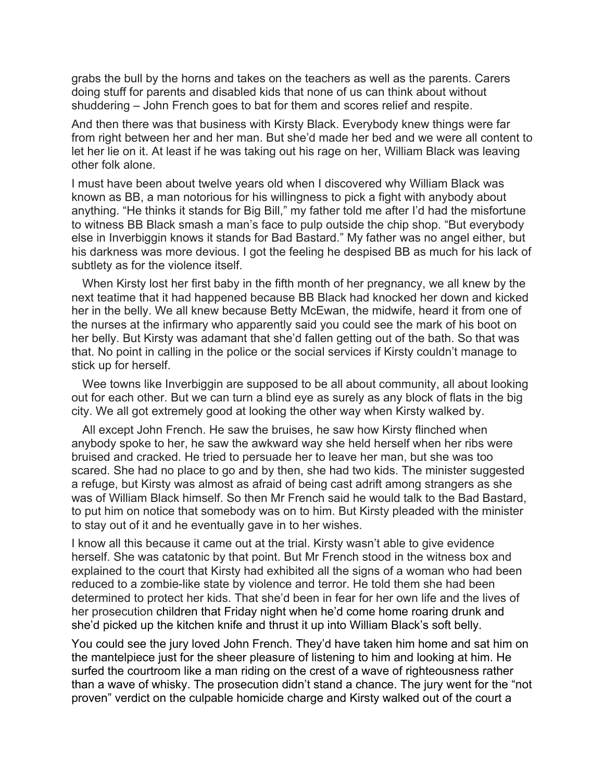grabs the bull by the horns and takes on the teachers as well as the parents. Carers doing stuff for parents and disabled kids that none of us can think about without shuddering – John French goes to bat for them and scores relief and respite.

And then there was that business with Kirsty Black. Everybody knew things were far from right between her and her man. But she'd made her bed and we were all content to let her lie on it. At least if he was taking out his rage on her, William Black was leaving other folk alone.

I must have been about twelve years old when I discovered why William Black was known as BB, a man notorious for his willingness to pick a fight with anybody about anything. "He thinks it stands for Big Bill," my father told me after I'd had the misfortune to witness BB Black smash a man's face to pulp outside the chip shop. "But everybody else in Inverbiggin knows it stands for Bad Bastard." My father was no angel either, but his darkness was more devious. I got the feeling he despised BB as much for his lack of subtlety as for the violence itself.

When Kirsty lost her first baby in the fifth month of her pregnancy, we all knew by the next teatime that it had happened because BB Black had knocked her down and kicked her in the belly. We all knew because Betty McEwan, the midwife, heard it from one of the nurses at the infirmary who apparently said you could see the mark of his boot on her belly. But Kirsty was adamant that she'd fallen getting out of the bath. So that was that. No point in calling in the police or the social services if Kirsty couldn't manage to stick up for herself.

Wee towns like Inverbiggin are supposed to be all about community, all about looking out for each other. But we can turn a blind eye as surely as any block of flats in the big city. We all got extremely good at looking the other way when Kirsty walked by.

All except John French. He saw the bruises, he saw how Kirsty flinched when anybody spoke to her, he saw the awkward way she held herself when her ribs were bruised and cracked. He tried to persuade her to leave her man, but she was too scared. She had no place to go and by then, she had two kids. The minister suggested a refuge, but Kirsty was almost as afraid of being cast adrift among strangers as she was of William Black himself. So then Mr French said he would talk to the Bad Bastard, to put him on notice that somebody was on to him. But Kirsty pleaded with the minister to stay out of it and he eventually gave in to her wishes.

I know all this because it came out at the trial. Kirsty wasn't able to give evidence herself. She was catatonic by that point. But Mr French stood in the witness box and explained to the court that Kirsty had exhibited all the signs of a woman who had been reduced to a zombie-like state by violence and terror. He told them she had been determined to protect her kids. That she'd been in fear for her own life and the lives of her prosecution children that Friday night when he'd come home roaring drunk and she'd picked up the kitchen knife and thrust it up into William Black's soft belly.

You could see the jury loved John French. They'd have taken him home and sat him on the mantelpiece just for the sheer pleasure of listening to him and looking at him. He surfed the courtroom like a man riding on the crest of a wave of righteousness rather than a wave of whisky. The prosecution didn't stand a chance. The jury went for the "not proven" verdict on the culpable homicide charge and Kirsty walked out of the court a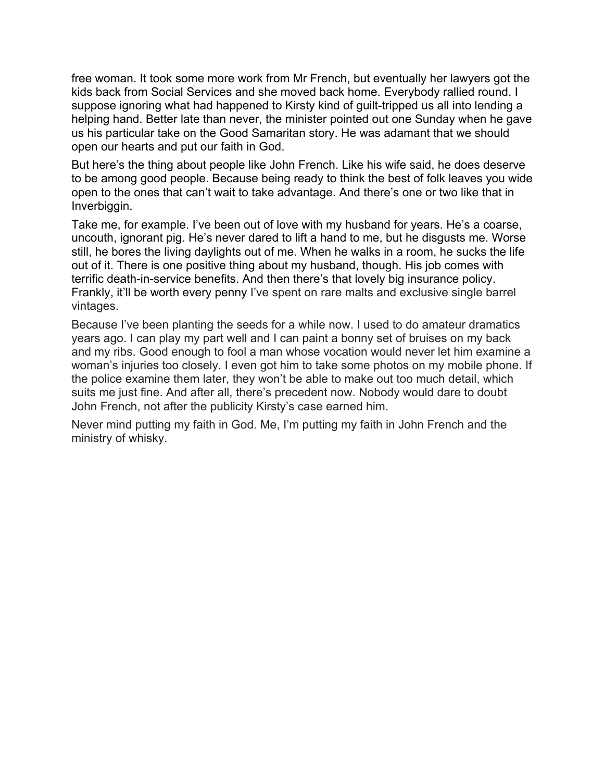free woman. It took some more work from Mr French, but eventually her lawyers got the kids back from Social Services and she moved back home. Everybody rallied round. I suppose ignoring what had happened to Kirsty kind of guilt-tripped us all into lending a helping hand. Better late than never, the minister pointed out one Sunday when he gave us his particular take on the Good Samaritan story. He was adamant that we should open our hearts and put our faith in God.

But here's the thing about people like John French. Like his wife said, he does deserve to be among good people. Because being ready to think the best of folk leaves you wide open to the ones that can't wait to take advantage. And there's one or two like that in Inverbiggin.

Take me, for example. I've been out of love with my husband for years. He's a coarse, uncouth, ignorant pig. He's never dared to lift a hand to me, but he disgusts me. Worse still, he bores the living daylights out of me. When he walks in a room, he sucks the life out of it. There is one positive thing about my husband, though. His job comes with terrific death-in-service benefits. And then there's that lovely big insurance policy. Frankly, it'll be worth every penny I've spent on rare malts and exclusive single barrel vintages.

Because I've been planting the seeds for a while now. I used to do amateur dramatics years ago. I can play my part well and I can paint a bonny set of bruises on my back and my ribs. Good enough to fool a man whose vocation would never let him examine a woman's injuries too closely. I even got him to take some photos on my mobile phone. If the police examine them later, they won't be able to make out too much detail, which suits me just fine. And after all, there's precedent now. Nobody would dare to doubt John French, not after the publicity Kirsty's case earned him.

Never mind putting my faith in God. Me, I'm putting my faith in John French and the ministry of whisky.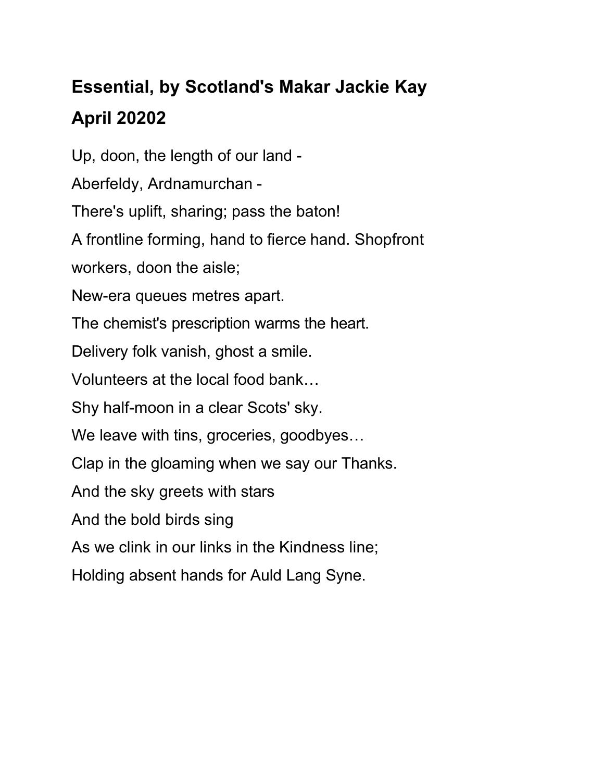## **Essential, by Scotland's Makar Jackie Kay April 20202**

Up, doon, the length of our land -

Aberfeldy, Ardnamurchan -

There's uplift, sharing; pass the baton!

A frontline forming, hand to fierce hand. Shopfront

workers, doon the aisle;

New-era queues metres apart.

The chemist's prescription warms the heart.

Delivery folk vanish, ghost a smile.

Volunteers at the local food bank…

Shy half-moon in a clear Scots' sky.

We leave with tins, groceries, goodbyes...

Clap in the gloaming when we say our Thanks.

And the sky greets with stars

And the bold birds sing

As we clink in our links in the Kindness line;

Holding absent hands for Auld Lang Syne.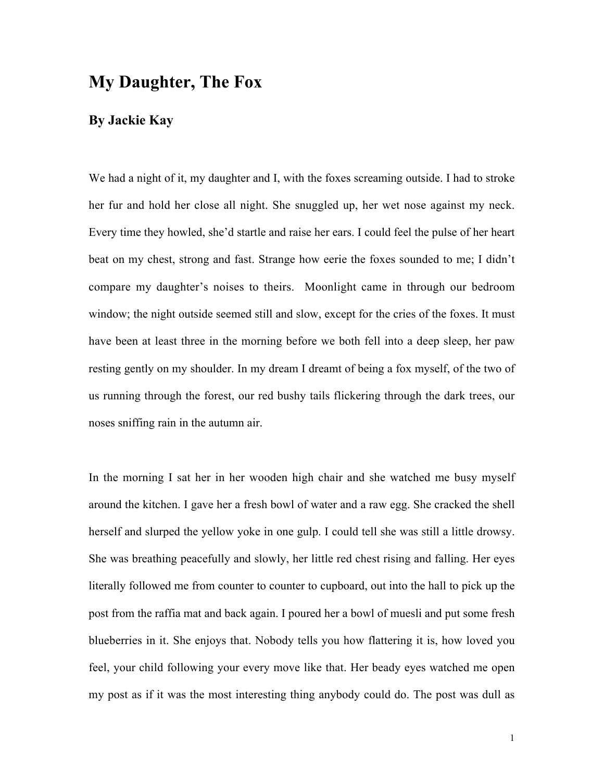## My Daughter, The Fox

## By Jackie Kay

We had a night of it, my daughter and I, with the foxes screaming outside. I had to stroke her fur and hold her close all night. She snuggled up, her wet nose against my neck. Every time they howled, she'd startle and raise her ears. I could feel the pulse of her heart beat on my chest, strong and fast. Strange how eerie the foxes sounded to me; I didn't compare my daughter's noises to theirs. Moonlight came in through our bedroom window; the night outside seemed still and slow, except for the cries of the foxes. It must have been at least three in the morning before we both fell into a deep sleep, her paw resting gently on my shoulder. In my dream I dreamt of being a fox myself, of the two of us running through the forest, our red bushy tails flickering through the dark trees, our noses sniffing rain in the autumn air.

In the morning I sat her in her wooden high chair and she watched me busy myself around the kitchen. I gave her a fresh bowl of water and a raw egg. She cracked the shell herself and slurped the yellow yoke in one gulp. I could tell she was still a little drowsy. She was breathing peacefully and slowly, her little red chest rising and falling. Her eyes literally followed me from counter to counter to cupboard, out into the hall to pick up the post from the raffia mat and back again. I poured her a bowl of muesli and put some fresh blueberries in it. She enjoys that. Nobody tells you how flattering it is, how loved you feel, your child following your every move like that. Her beady eyes watched me open my post as if it was the most interesting thing anybody could do. The post was dull as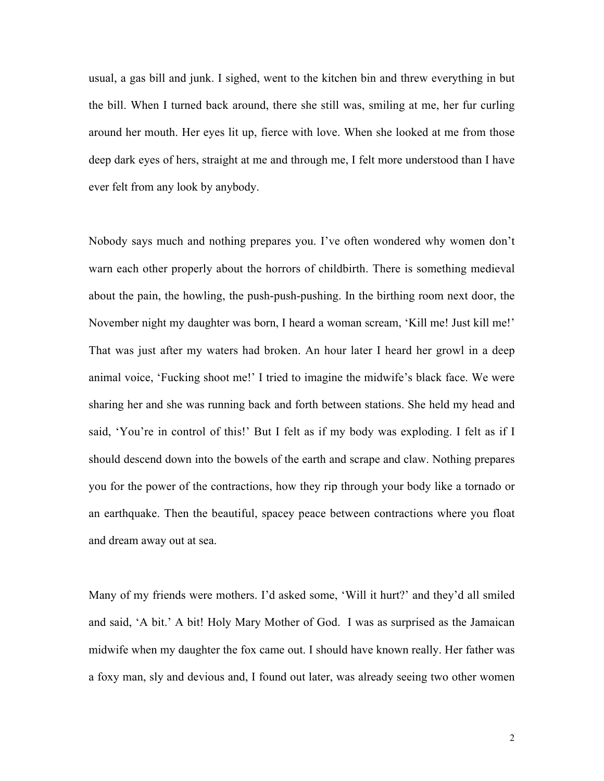usual, a gas bill and junk. I sighed, went to the kitchen bin and threw everything in but the bill. When I turned back around, there she still was, smiling at me, her fur curling around her mouth. Her eyes lit up, fierce with love. When she looked at me from those deep dark eyes of hers, straight at me and through me, I felt more understood than I have ever felt from any look by anybody.

Nobody says much and nothing prepares you. I've often wondered why women don't warn each other properly about the horrors of childbirth. There is something medieval about the pain, the howling, the push-push-pushing. In the birthing room next door, the November night my daughter was born, I heard a woman scream, 'Kill me! Just kill me!' That was just after my waters had broken. An hour later I heard her growl in a deep animal voice, 'Fucking shoot me!' I tried to imagine the midwife's black face. We were sharing her and she was running back and forth between stations. She held my head and said, 'You're in control of this!' But I felt as if my body was exploding. I felt as if I should descend down into the bowels of the earth and scrape and claw. Nothing prepares you for the power of the contractions, how they rip through your body like a tornado or an earthquake. Then the beautiful, spacey peace between contractions where you float and dream away out at sea.

Many of my friends were mothers. I'd asked some, 'Will it hurt?' and they'd all smiled and said, 'A bit.' A bit! Holy Mary Mother of God. I was as surprised as the Jamaican midwife when my daughter the fox came out. I should have known really. Her father was a foxy man, sly and devious and, I found out later, was already seeing two other women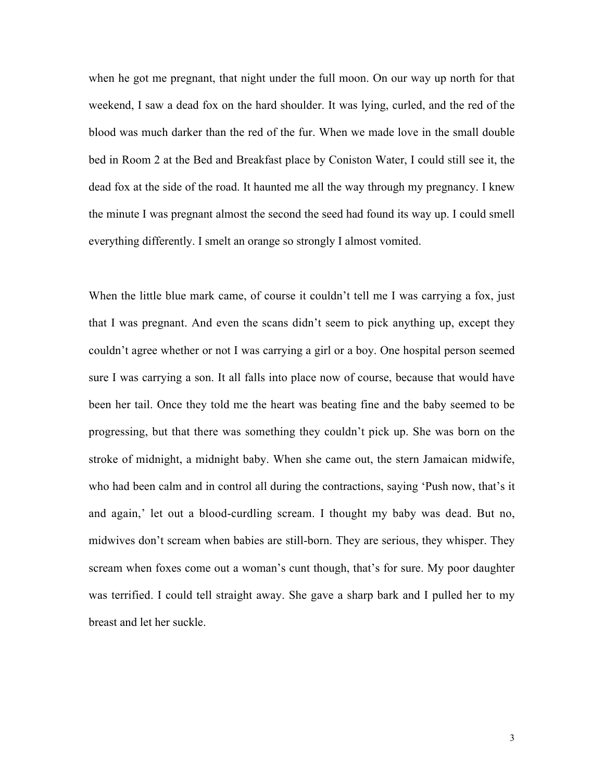when he got me pregnant, that night under the full moon. On our way up north for that weekend, I saw a dead fox on the hard shoulder. It was lying, curled, and the red of the blood was much darker than the red of the fur. When we made love in the small double bed in Room 2 at the Bed and Breakfast place by Coniston Water, I could still see it, the dead fox at the side of the road. It haunted me all the way through my pregnancy. I knew the minute I was pregnant almost the second the seed had found its way up. I could smell everything differently. I smelt an orange so strongly I almost vomited.

When the little blue mark came, of course it couldn't tell me I was carrying a fox, just that I was pregnant. And even the scans didn't seem to pick anything up, except they couldn't agree whether or not I was carrying a girl or a boy. One hospital person seemed sure I was carrying a son. It all falls into place now of course, because that would have been her tail. Once they told me the heart was beating fine and the baby seemed to be progressing, but that there was something they couldn't pick up. She was born on the stroke of midnight, a midnight baby. When she came out, the stern Jamaican midwife, who had been calm and in control all during the contractions, saying 'Push now, that's it and again,' let out a blood-curdling scream. I thought my baby was dead. But no, midwives don't scream when babies are still-born. They are serious, they whisper. They scream when foxes come out a woman's cunt though, that's for sure. My poor daughter was terrified. I could tell straight away. She gave a sharp bark and I pulled her to my breast and let her suckle.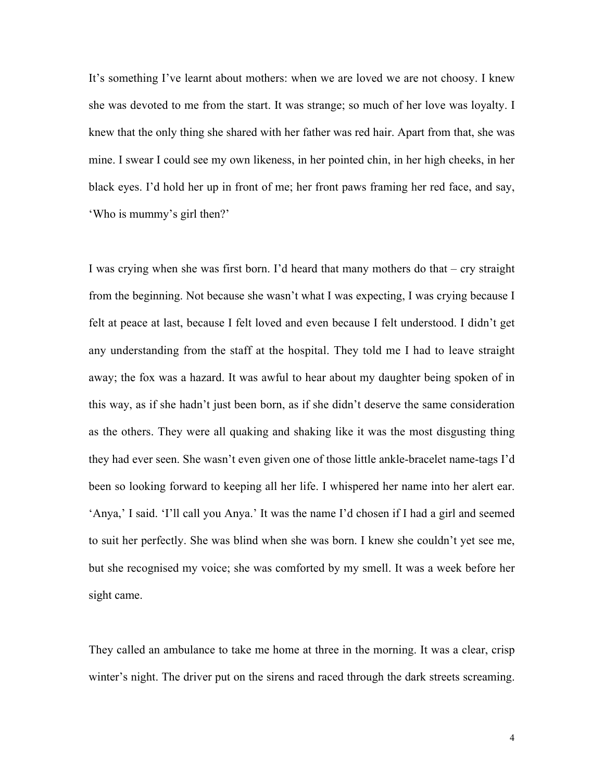It's something I've learnt about mothers: when we are loved we are not choosy. I knew she was devoted to me from the start. It was strange; so much of her love was loyalty. I knew that the only thing she shared with her father was red hair. Apart from that, she was mine. I swear I could see my own likeness, in her pointed chin, in her high cheeks, in her black eyes. I'd hold her up in front of me; her front paws framing her red face, and say, 'Who is mummy's girl then?'

I was crying when she was first born. I'd heard that many mothers do that – cry straight from the beginning. Not because she wasn't what I was expecting, I was crying because I felt at peace at last, because I felt loved and even because I felt understood. I didn't get any understanding from the staff at the hospital. They told me I had to leave straight away; the fox was a hazard. It was awful to hear about my daughter being spoken of in this way, as if she hadn't just been born, as if she didn't deserve the same consideration as the others. They were all quaking and shaking like it was the most disgusting thing they had ever seen. She wasn't even given one of those little ankle-bracelet name-tags I'd been so looking forward to keeping all her life. I whispered her name into her alert ear. 'Anya,' I said. 'I'll call you Anya.' It was the name I'd chosen if I had a girl and seemed to suit her perfectly. She was blind when she was born. I knew she couldn't yet see me, but she recognised my voice; she was comforted by my smell. It was a week before her sight came.

They called an ambulance to take me home at three in the morning. It was a clear, crisp winter's night. The driver put on the sirens and raced through the dark streets screaming.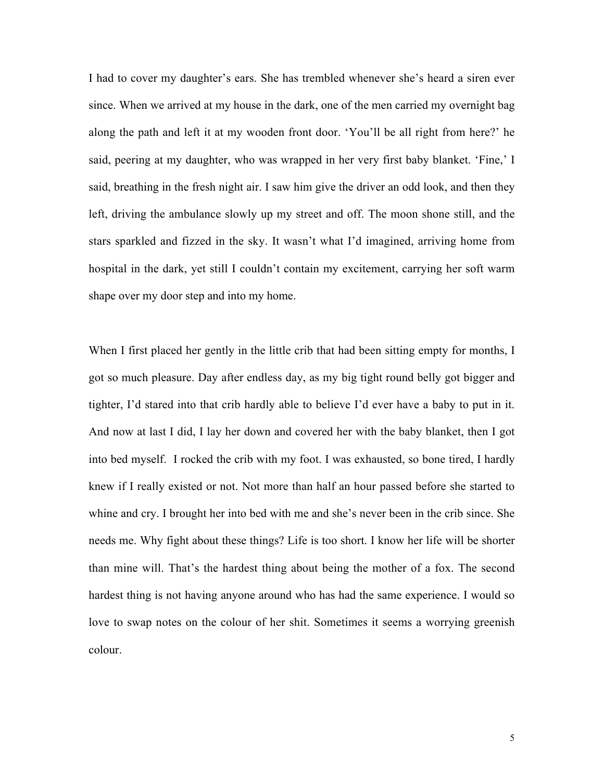I had to cover my daughter's ears. She has trembled whenever she's heard a siren ever since. When we arrived at my house in the dark, one of the men carried my overnight bag along the path and left it at my wooden front door. 'You'll be all right from here?' he said, peering at my daughter, who was wrapped in her very first baby blanket. 'Fine,' I said, breathing in the fresh night air. I saw him give the driver an odd look, and then they left, driving the ambulance slowly up my street and off. The moon shone still, and the stars sparkled and fizzed in the sky. It wasn't what I'd imagined, arriving home from hospital in the dark, yet still I couldn't contain my excitement, carrying her soft warm shape over my door step and into my home.

When I first placed her gently in the little crib that had been sitting empty for months, I got so much pleasure. Day after endless day, as my big tight round belly got bigger and tighter, I'd stared into that crib hardly able to believe I'd ever have a baby to put in it. And now at last I did, I lay her down and covered her with the baby blanket, then I got into bed myself. I rocked the crib with my foot. I was exhausted, so bone tired, I hardly knew if I really existed or not. Not more than half an hour passed before she started to whine and cry. I brought her into bed with me and she's never been in the crib since. She needs me. Why fight about these things? Life is too short. I know her life will be shorter than mine will. That's the hardest thing about being the mother of a fox. The second hardest thing is not having anyone around who has had the same experience. I would so love to swap notes on the colour of her shit. Sometimes it seems a worrying greenish colour.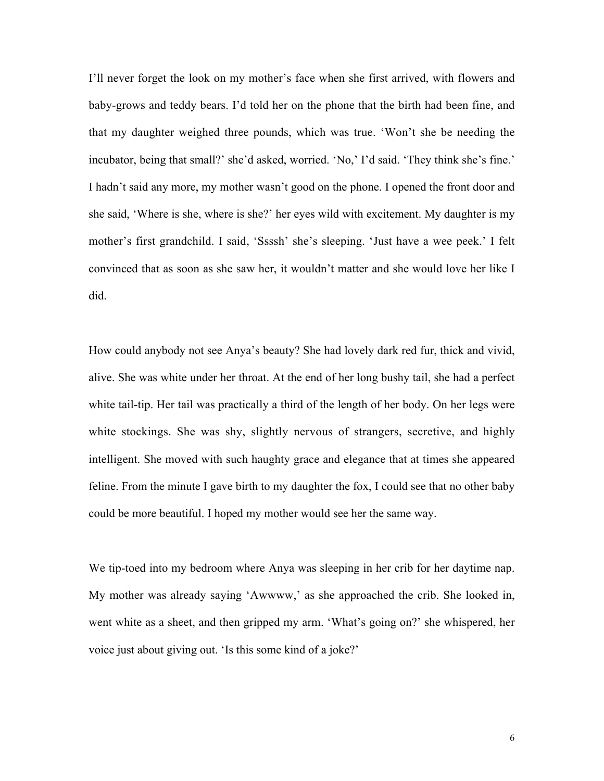I'll never forget the look on my mother's face when she first arrived, with flowers and baby-grows and teddy bears. I'd told her on the phone that the birth had been fine, and that my daughter weighed three pounds, which was true. 'Won't she be needing the incubator, being that small?' she'd asked, worried. 'No,' I'd said. 'They think she's fine.' I hadn't said any more, my mother wasn't good on the phone. I opened the front door and she said, 'Where is she, where is she?' her eyes wild with excitement. My daughter is my mother's first grandchild. I said, 'Ssssh' she's sleeping. 'Just have a wee peek.' I felt convinced that as soon as she saw her, it wouldn't matter and she would love her like I did.

How could anybody not see Anya's beauty? She had lovely dark red fur, thick and vivid, alive. She was white under her throat. At the end of her long bushy tail, she had a perfect white tail-tip. Her tail was practically a third of the length of her body. On her legs were white stockings. She was shy, slightly nervous of strangers, secretive, and highly intelligent. She moved with such haughty grace and elegance that at times she appeared feline. From the minute I gave birth to my daughter the fox, I could see that no other baby could be more beautiful. I hoped my mother would see her the same way.

We tip-toed into my bedroom where Anya was sleeping in her crib for her daytime nap. My mother was already saying 'Awwww,' as she approached the crib. She looked in, went white as a sheet, and then gripped my arm. 'What's going on?' she whispered, her voice just about giving out. 'Is this some kind of a joke?'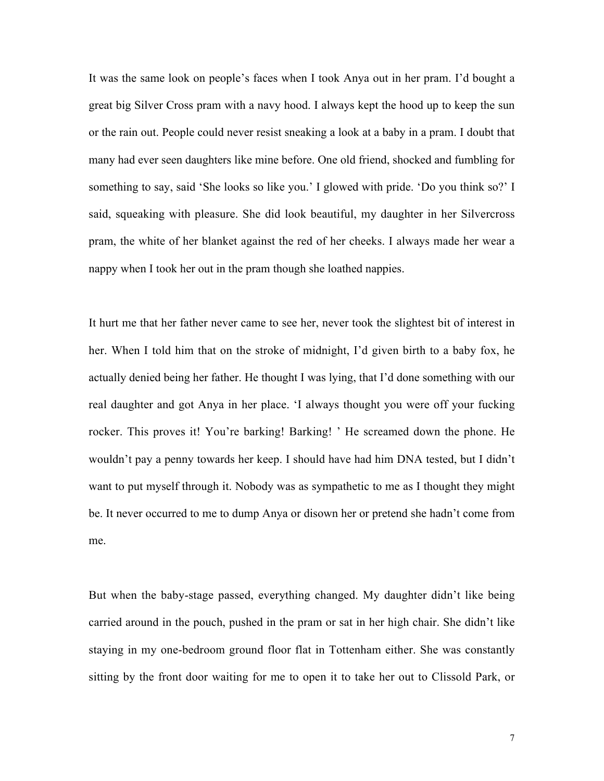It was the same look on people's faces when I took Anya out in her pram. I'd bought a great big Silver Cross pram with a navy hood. I always kept the hood up to keep the sun or the rain out. People could never resist sneaking a look at a baby in a pram. I doubt that many had ever seen daughters like mine before. One old friend, shocked and fumbling for something to say, said 'She looks so like you.' I glowed with pride. 'Do you think so?' I said, squeaking with pleasure. She did look beautiful, my daughter in her Silvercross pram, the white of her blanket against the red of her cheeks. I always made her wear a nappy when I took her out in the pram though she loathed nappies.

It hurt me that her father never came to see her, never took the slightest bit of interest in her. When I told him that on the stroke of midnight, I'd given birth to a baby fox, he actually denied being her father. He thought I was lying, that I'd done something with our real daughter and got Anya in her place. 'I always thought you were off your fucking rocker. This proves it! You're barking! Barking! ' He screamed down the phone. He wouldn't pay a penny towards her keep. I should have had him DNA tested, but I didn't want to put myself through it. Nobody was as sympathetic to me as I thought they might be. It never occurred to me to dump Anya or disown her or pretend she hadn't come from me.

But when the baby-stage passed, everything changed. My daughter didn't like being carried around in the pouch, pushed in the pram or sat in her high chair. She didn't like staying in my one-bedroom ground floor flat in Tottenham either. She was constantly sitting by the front door waiting for me to open it to take her out to Clissold Park, or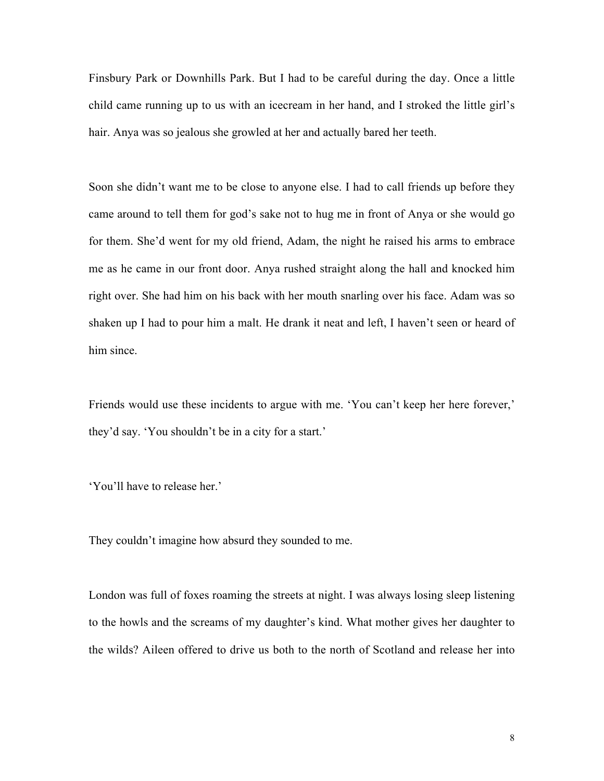Finsbury Park or Downhills Park. But I had to be careful during the day. Once a little child came running up to us with an icecream in her hand, and I stroked the little girl's hair. Anya was so jealous she growled at her and actually bared her teeth.

Soon she didn't want me to be close to anyone else. I had to call friends up before they came around to tell them for god's sake not to hug me in front of Anya or she would go for them. She'd went for my old friend, Adam, the night he raised his arms to embrace me as he came in our front door. Anya rushed straight along the hall and knocked him right over. She had him on his back with her mouth snarling over his face. Adam was so shaken up I had to pour him a malt. He drank it neat and left, I haven't seen or heard of him since.

Friends would use these incidents to argue with me. 'You can't keep her here forever,' they'd say. 'You shouldn't be in a city for a start.'

'You'll have to release her.'

They couldn't imagine how absurd they sounded to me.

London was full of foxes roaming the streets at night. I was always losing sleep listening to the howls and the screams of my daughter's kind. What mother gives her daughter to the wilds? Aileen offered to drive us both to the north of Scotland and release her into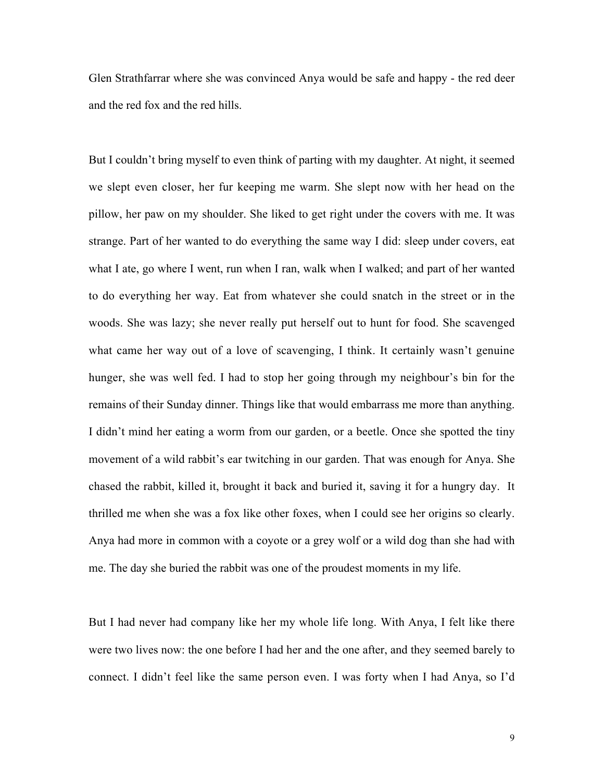Glen Strathfarrar where she was convinced Anya would be safe and happy - the red deer and the red fox and the red hills.

But I couldn't bring myself to even think of parting with my daughter. At night, it seemed we slept even closer, her fur keeping me warm. She slept now with her head on the pillow, her paw on my shoulder. She liked to get right under the covers with me. It was strange. Part of her wanted to do everything the same way I did: sleep under covers, eat what I ate, go where I went, run when I ran, walk when I walked; and part of her wanted to do everything her way. Eat from whatever she could snatch in the street or in the woods. She was lazy; she never really put herself out to hunt for food. She scavenged what came her way out of a love of scavenging, I think. It certainly wasn't genuine hunger, she was well fed. I had to stop her going through my neighbour's bin for the remains of their Sunday dinner. Things like that would embarrass me more than anything. I didn't mind her eating a worm from our garden, or a beetle. Once she spotted the tiny movement of a wild rabbit's ear twitching in our garden. That was enough for Anya. She chased the rabbit, killed it, brought it back and buried it, saving it for a hungry day. It thrilled me when she was a fox like other foxes, when I could see her origins so clearly. Anya had more in common with a coyote or a grey wolf or a wild dog than she had with me. The day she buried the rabbit was one of the proudest moments in my life.

But I had never had company like her my whole life long. With Anya, I felt like there were two lives now: the one before I had her and the one after, and they seemed barely to connect. I didn't feel like the same person even. I was forty when I had Anya, so I'd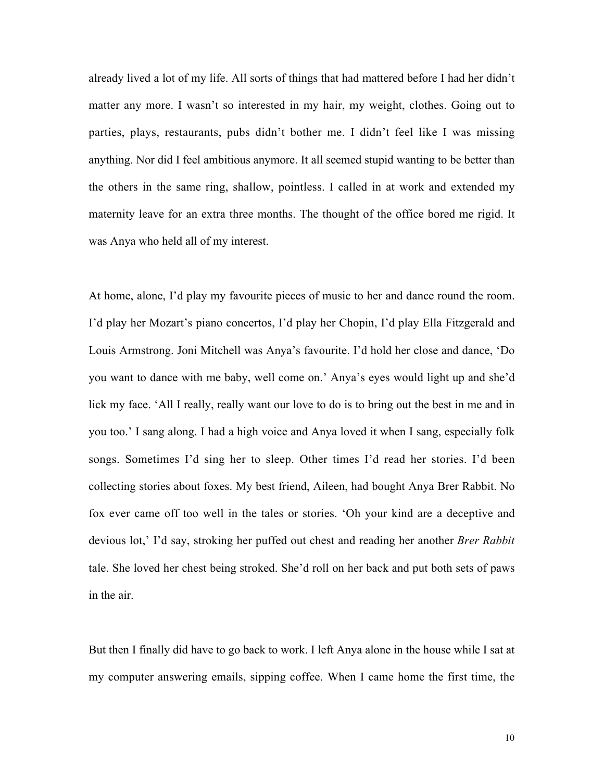already lived a lot of my life. All sorts of things that had mattered before I had her didn't matter any more. I wasn't so interested in my hair, my weight, clothes. Going out to parties, plays, restaurants, pubs didn't bother me. I didn't feel like I was missing anything. Nor did I feel ambitious anymore. It all seemed stupid wanting to be better than the others in the same ring, shallow, pointless. I called in at work and extended my maternity leave for an extra three months. The thought of the office bored me rigid. It was Anya who held all of my interest.

At home, alone, I'd play my favourite pieces of music to her and dance round the room. I'd play her Mozart's piano concertos, I'd play her Chopin, I'd play Ella Fitzgerald and Louis Armstrong. Joni Mitchell was Anya's favourite. I'd hold her close and dance, 'Do you want to dance with me baby, well come on.' Anya's eyes would light up and she'd lick my face. 'All I really, really want our love to do is to bring out the best in me and in you too.' I sang along. I had a high voice and Anya loved it when I sang, especially folk songs. Sometimes I'd sing her to sleep. Other times I'd read her stories. I'd been collecting stories about foxes. My best friend, Aileen, had bought Anya Brer Rabbit. No fox ever came off too well in the tales or stories. 'Oh your kind are a deceptive and devious lot,' I'd say, stroking her puffed out chest and reading her another *Brer Rabbit* tale. She loved her chest being stroked. She'd roll on her back and put both sets of paws in the air.

But then I finally did have to go back to work. I left Anya alone in the house while I sat at my computer answering emails, sipping coffee. When I came home the first time, the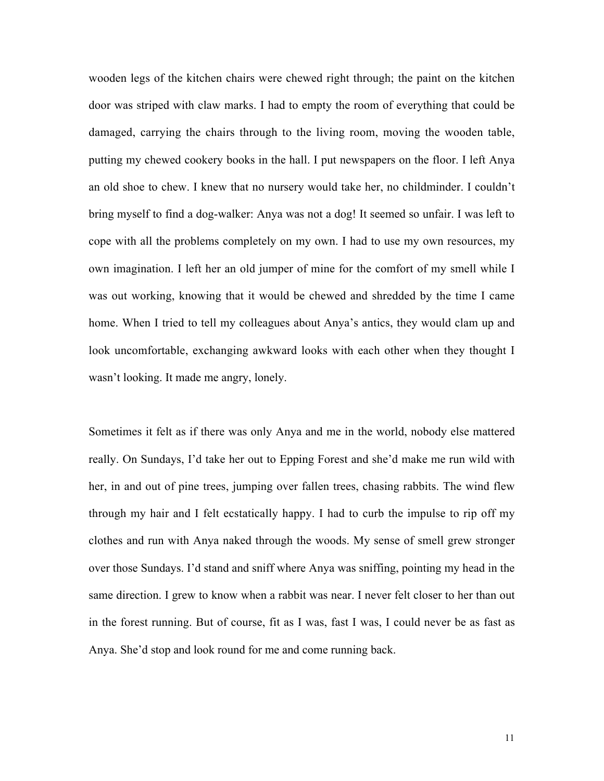wooden legs of the kitchen chairs were chewed right through; the paint on the kitchen door was striped with claw marks. I had to empty the room of everything that could be damaged, carrying the chairs through to the living room, moving the wooden table, putting my chewed cookery books in the hall. I put newspapers on the floor. I left Anya an old shoe to chew. I knew that no nursery would take her, no childminder. I couldn't bring myself to find a dog-walker: Anya was not a dog! It seemed so unfair. I was left to cope with all the problems completely on my own. I had to use my own resources, my own imagination. I left her an old jumper of mine for the comfort of my smell while I was out working, knowing that it would be chewed and shredded by the time I came home. When I tried to tell my colleagues about Anya's antics, they would clam up and look uncomfortable, exchanging awkward looks with each other when they thought I wasn't looking. It made me angry, lonely.

Sometimes it felt as if there was only Anya and me in the world, nobody else mattered really. On Sundays, I'd take her out to Epping Forest and she'd make me run wild with her, in and out of pine trees, jumping over fallen trees, chasing rabbits. The wind flew through my hair and I felt ecstatically happy. I had to curb the impulse to rip off my clothes and run with Anya naked through the woods. My sense of smell grew stronger over those Sundays. I'd stand and sniff where Anya was sniffing, pointing my head in the same direction. I grew to know when a rabbit was near. I never felt closer to her than out in the forest running. But of course, fit as I was, fast I was, I could never be as fast as Anya. She'd stop and look round for me and come running back.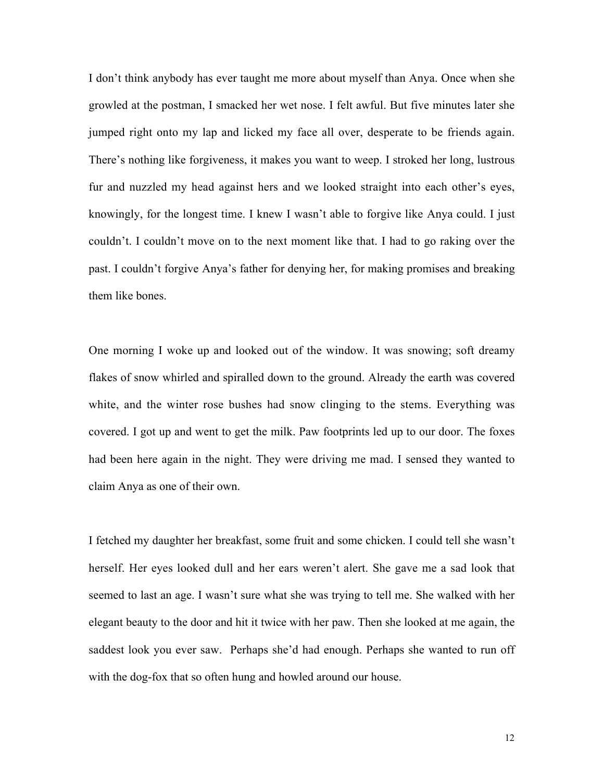I don't think anybody has ever taught me more about myself than Anya. Once when she growled at the postman, I smacked her wet nose. I felt awful. But five minutes later she jumped right onto my lap and licked my face all over, desperate to be friends again. There's nothing like forgiveness, it makes you want to weep. I stroked her long, lustrous fur and nuzzled my head against hers and we looked straight into each other's eyes, knowingly, for the longest time. I knew I wasn't able to forgive like Anya could. I just couldn't. I couldn't move on to the next moment like that. I had to go raking over the past. I couldn't forgive Anya's father for denying her, for making promises and breaking them like bones.

One morning I woke up and looked out of the window. It was snowing; soft dreamy flakes of snow whirled and spiralled down to the ground. Already the earth was covered white, and the winter rose bushes had snow clinging to the stems. Everything was covered. I got up and went to get the milk. Paw footprints led up to our door. The foxes had been here again in the night. They were driving me mad. I sensed they wanted to claim Anya as one of their own.

I fetched my daughter her breakfast, some fruit and some chicken. I could tell she wasn't herself. Her eyes looked dull and her ears weren't alert. She gave me a sad look that seemed to last an age. I wasn't sure what she was trying to tell me. She walked with her elegant beauty to the door and hit it twice with her paw. Then she looked at me again, the saddest look you ever saw. Perhaps she'd had enough. Perhaps she wanted to run off with the dog-fox that so often hung and howled around our house.